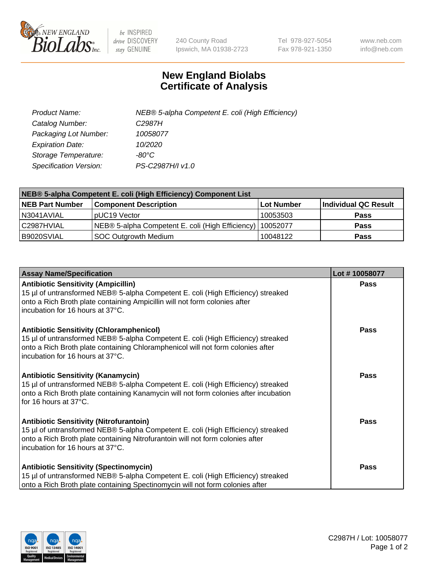

 $be$  INSPIRED drive DISCOVERY stay GENUINE

240 County Road Ipswich, MA 01938-2723 Tel 978-927-5054 Fax 978-921-1350 www.neb.com info@neb.com

## **New England Biolabs Certificate of Analysis**

| Product Name:           | NEB® 5-alpha Competent E. coli (High Efficiency) |
|-------------------------|--------------------------------------------------|
| Catalog Number:         | C <sub>2987</sub> H                              |
| Packaging Lot Number:   | 10058077                                         |
| <b>Expiration Date:</b> | 10/2020                                          |
| Storage Temperature:    | -80°C                                            |
| Specification Version:  | PS-C2987H/I v1.0                                 |

| NEB® 5-alpha Competent E. coli (High Efficiency) Component List |                                                  |            |                      |  |
|-----------------------------------------------------------------|--------------------------------------------------|------------|----------------------|--|
| <b>NEB Part Number</b>                                          | <b>Component Description</b>                     | Lot Number | Individual QC Result |  |
| N3041AVIAL                                                      | pUC19 Vector                                     | 10053503   | <b>Pass</b>          |  |
| C2987HVIAL                                                      | NEB® 5-alpha Competent E. coli (High Efficiency) | 10052077   | <b>Pass</b>          |  |
| B9020SVIAL                                                      | SOC Outgrowth Medium                             | 10048122   | <b>Pass</b>          |  |

| <b>Assay Name/Specification</b>                                                                                                                                                                                                                            | Lot #10058077 |
|------------------------------------------------------------------------------------------------------------------------------------------------------------------------------------------------------------------------------------------------------------|---------------|
| <b>Antibiotic Sensitivity (Ampicillin)</b><br>15 µl of untransformed NEB® 5-alpha Competent E. coli (High Efficiency) streaked<br>onto a Rich Broth plate containing Ampicillin will not form colonies after<br>incubation for 16 hours at 37°C.           | <b>Pass</b>   |
| <b>Antibiotic Sensitivity (Chloramphenicol)</b><br>15 µl of untransformed NEB® 5-alpha Competent E. coli (High Efficiency) streaked<br>onto a Rich Broth plate containing Chloramphenicol will not form colonies after<br>incubation for 16 hours at 37°C. | Pass          |
| Antibiotic Sensitivity (Kanamycin)<br>15 µl of untransformed NEB® 5-alpha Competent E. coli (High Efficiency) streaked<br>onto a Rich Broth plate containing Kanamycin will not form colonies after incubation<br>for 16 hours at 37°C.                    | Pass          |
| <b>Antibiotic Sensitivity (Nitrofurantoin)</b><br>15 µl of untransformed NEB® 5-alpha Competent E. coli (High Efficiency) streaked<br>onto a Rich Broth plate containing Nitrofurantoin will not form colonies after<br>incubation for 16 hours at 37°C.   | <b>Pass</b>   |
| <b>Antibiotic Sensitivity (Spectinomycin)</b><br>15 µl of untransformed NEB® 5-alpha Competent E. coli (High Efficiency) streaked<br>onto a Rich Broth plate containing Spectinomycin will not form colonies after                                         | Pass          |